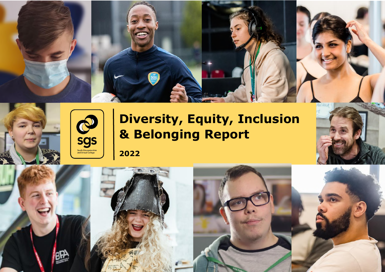





# **Diversity, Equity, Inclusion & Belonging Report**

**2022** 

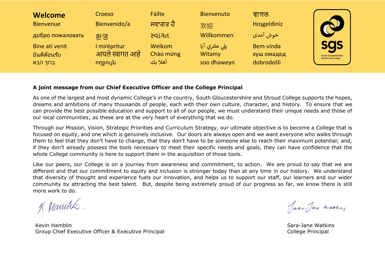| <b>Welcome</b>   | Croeso          | Fáilte        | <b>Bienvenuto</b> | স্বাগত      | <b>N</b>                     |
|------------------|-----------------|---------------|-------------------|-------------|------------------------------|
| <b>Bienvenue</b> | Bienvenido/a    | ਸਵਾਗਤ ਹੈ।     | 欢迎                | Hoşgeldiniz |                              |
| добро пожаловать | 화영              | સ્વાગત        | Willkommen        | خوش آمدي    |                              |
| Bine ati venit   | mirëpritur      | <b>Welkom</b> | -ڀلي ڪري آيا      | Bem-vinda   | <b>SQS</b>                   |
| ยินดีต้อนรับ     | आपले स्वागत आहे | Chào mừng     | <b>Witamy</b>     | хуш омадед  | <b>South Gloucestershire</b> |
| ברוך הבא         | nnonulu         | أهلا بك       | soo dhaweyn       | dobrodošli  | and Stroud College           |

#### **A joint message from our Chief Executive Officer and the College Principal**

As one of the largest and most dynamic College's in the country, South Gloucestershire and Stroud College supports the hopes, dreams and ambitions of many thousands of people, each with their own culture, character, and history. To ensure that we can provide the best possible education and support to all of our people, we must understand their unique needs and those of our local communities; as these are at the very heart of everything that we do.

Through our Mission, Vision, Strategic Priorities and Curriculum Strategy, our ultimate objective is to become a College that is focused on equity, and one which is genuinely inclusive. Our doors are always open and we want everyone who walks through them to feel that they don't have to change, that they don't have to be someone else to reach their maximum potential; and, if they don't already possess the tools necessary to meet their specific needs and goals, they can have confidence that the whole College community is here to support them in the acquisition of those tools.

Like our peers, our College is on a journey from awareness and commitment, to action. We are proud to say that we are different and that our commitment to equity and inclusion is stronger today than at any time in our history. We understand that diversity of thought and experience fuels our innovation, and helps us to support our staff, our learners and our wider community by attracting the best talent. But, despite being extremely proud of our progress so far, we know there is still more work to do.

K Hamilik.

Kevin Hamblin Group Chief Executive Officer & Executive Principal

Jaa-Jose Latting

Sara-Jane Watkins College Principal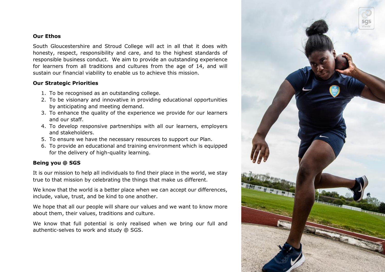#### **Our Ethos**

South Gloucestershire and Stroud College will act in all that it does with honesty, respect, responsibility and care, and to the highest standards of responsible business conduct. We aim to provide an outstanding experience for learners from all traditions and cultures from the age of 14, and will sustain our financial viability to enable us to achieve this mission.

#### **Our Strategic Priorities**

- 1. To be recognised as an outstanding college.
- 2. To be visionary and innovative in providing educational opportunities by anticipating and meeting demand.
- 3. To enhance the quality of the experience we provide for our learners and our staff.
- 4. To develop responsive partnerships with all our learners, employers and stakeholders.
- 5. To ensure we have the necessary resources to support our Plan.
- 6. To provide an educational and training environment which is equipped for the delivery of high-quality learning.

#### **Being you @ SGS**

It is our mission to help all individuals to find their place in the world, we stay true to that mission by celebrating the things that make us different.

We know that the world is a better place when we can accept our differences, include, value, trust, and be kind to one another.

We hope that all our people will share our values and we want to know more about them, their values, traditions and culture.

We know that full potential is only realised when we bring our full and authentic-selves to work and study @ SGS.

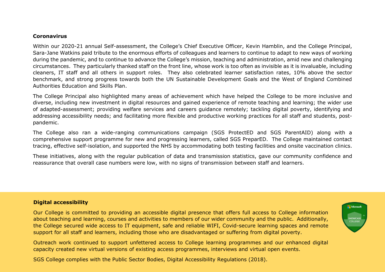#### **Coronavirus**

Within our 2020-21 annual Self-assessment, the College's Chief Executive Officer, Kevin Hamblin, and the College Principal, Sara-Jane Watkins paid tribute to the enormous efforts of colleagues and learners to continue to adapt to new ways of working during the pandemic, and to continue to advance the College's mission, teaching and administration, amid new and challenging circumstances. They particularly thanked staff on the front line, whose work is too often as invisible as it is invaluable, including cleaners, IT staff and all others in support roles. They also celebrated learner satisfaction rates, 10% above the sector benchmark, and strong progress towards both the UN Sustainable Development Goals and the West of England Combined Authorities Education and Skills Plan.

The College Principal also highlighted many areas of achievement which have helped the College to be more inclusive and diverse, including new investment in digital resources and gained experience of remote teaching and learning; the wider use of adapted-assessment; providing welfare services and careers guidance remotely; tackling digital poverty, identifying and addressing accessibility needs; and facilitating more flexible and productive working practices for all staff and students, postpandemic.

The College also ran a wide-ranging communications campaign (SGS ProtectED and SGS ParentAID) along with a comprehensive support programme for new and progressing learners, called SGS PreparED. The College maintained contact tracing, effective self-isolation, and supported the NHS by accommodating both testing facilities and onsite vaccination clinics.

These initiatives, along with the regular publication of data and transmission statistics, gave our community confidence and reassurance that overall case numbers were low, with no signs of transmission between staff and learners.

#### **Digital accessibility**

Our College is committed to providing an accessible digital presence that offers full access to College information about teaching and learning, courses and activities to members of our wider community and the public. Additionally, the College secured wide access to IT equipment, safe and reliable WIFI, Covid-secure learning spaces and remote support for all staff and learners, including those who are disadvantaged or suffering from digital poverty.

Outreach work continued to support unfettered access to College learning programmes and our enhanced digital capacity created new virtual versions of existing access programmes, interviews and virtual open events.

SGS College complies with the Public Sector Bodies, Digital Accessibility Regulations (2018).

![](_page_3_Picture_9.jpeg)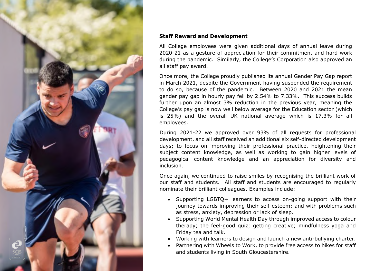![](_page_4_Picture_0.jpeg)

### **Staff Reward and Development**

All College employees were given additional days of annual leave during 2020-21 as a gesture of appreciation for their commitment and hard work during the pandemic. Similarly, the College's Corporation also approved an all staff pay award.

Once more, the College proudly published its annual Gender Pay Gap report in March 2021, despite the Government having suspended the requirement to do so, because of the pandemic. Between 2020 and 2021 the mean gender pay gap in hourly pay fell by 2.54% to 7.33%. This success builds further upon an almost 3% reduction in the previous year, meaning the College's pay gap is now well below average for the Education sector (which is 25%) and the overall UK national average which is 17.3% for all employees.

During 2021-22 we approved over 93% of all requests for professional development, and all staff received an additional six self-directed development days; to focus on improving their professional practice, heightening their subject content knowledge, as well as working to gain higher levels of pedagogical content knowledge and an appreciation for diversity and inclusion.

Once again, we continued to raise smiles by recognising the brilliant work of our staff and students. All staff and students are encouraged to regularly nominate their brilliant colleagues. Examples include:

- Supporting LGBTQ+ learners to access on-going support with their journey towards improving their self-esteem; and with problems such as stress, anxiety, depression or lack of sleep.
- Supporting World Mental Health Day through improved access to colour therapy; the feel-good quiz; getting creative; mindfulness yoga and Friday tea and talk.
- Working with learners to design and launch a new anti-bullying charter.
- Partnering with Wheels to Work, to provide free access to bikes for staff and students living in South Gloucestershire.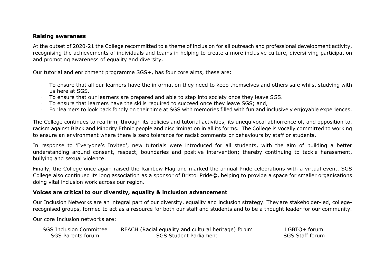#### **Raising awareness**

At the outset of 2020-21 the College recommitted to a theme of inclusion for all outreach and professional development activity, recognising the achievements of individuals and teams in helping to create a more inclusive culture, diversifying participation and promoting awareness of equality and diversity.

Our tutorial and enrichment programme SGS+, has four core aims, these are:

- · To ensure that all our learners have the information they need to keep themselves and others safe whilst studying with us here at SGS.
- · To ensure that our learners are prepared and able to step into society once they leave SGS.
- · To ensure that learners have the skills required to succeed once they leave SGS; and,
- · For learners to look back fondly on their time at SGS with memories filled with fun and inclusively enjoyable experiences.

The College continues to reaffirm, through its policies and tutorial activities, its unequivocal abhorrence of, and opposition to, racism against Black and Minority Ethnic people and discrimination in all its forms. The College is vocally committed to working to ensure an environment where there is zero tolerance for racist comments or behaviours by staff or students.

In response to 'Everyone's Invited', new tutorials were introduced for all students, with the aim of building a better understanding around consent, respect, boundaries and positive intervention; thereby continuing to tackle harassment, bullying and sexual violence.

Finally, the College once again raised the Rainbow Flag and marked the annual Pride celebrations with a virtual event. SGS College also continued its long association as a sponsor of Bristol Pride©, helping to provide a space for smaller organisations doing vital inclusion work across our region.

#### **Voices are critical to our diversity, equality & inclusion advancement**

Our Inclusion Networks are an integral part of our diversity, equality and inclusion strategy. They are stakeholder-led, collegerecognised groups, formed to act as a resource for both our staff and students and to be a thought leader for our community.

Our core Inclusion networks are:

| <b>SGS Inclusion Committee</b> | REACH (Racial equality and cultural heritage) forum | LGBTQ+ forum           |
|--------------------------------|-----------------------------------------------------|------------------------|
| <b>SGS Parents forum</b>       | <b>SGS Student Parliament</b>                       | <b>SGS Staff forum</b> |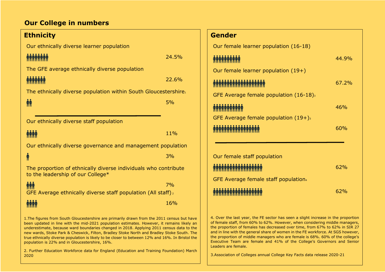### **Our College in numbers**

| <b>Ethnicity</b>                                                                                     |       |
|------------------------------------------------------------------------------------------------------|-------|
| Our ethnically diverse learner population                                                            |       |
| <b>AAAAAAAA</b>                                                                                      | 24.5% |
| The GFE average ethnically diverse population                                                        |       |
| <b>AAAAAAA</b>                                                                                       | 22.6% |
| The ethnically diverse population within South Gloucestershire.                                      |       |
| <b>AR</b>                                                                                            | 5%    |
| Our ethnically diverse staff population                                                              |       |
|                                                                                                      |       |
|                                                                                                      | 11%   |
| Our ethnically diverse governance and management population                                          |       |
| Å                                                                                                    | 3%    |
| The proportion of ethnically diverse individuals who contribute<br>to the leadership of our College* |       |
| <b>AAA</b>                                                                                           | 7%    |
| GFE Average ethnically diverse staff population (All staff) $_2$                                     |       |
|                                                                                                      | 16%   |
| 1. The figures from South Gloucestershire are primarily drawn from the 2011 census but have          |       |

been updated in line with the mid-2021 population estimates. However, it remains likely an underestimate, because ward boundaries changed in 2018. Applying 2011 census data to the new wards, Stoke Park & Cheswick, Filton, Bradley Stoke North and Bradley Stoke South. The true ethnically diverse population is likely to be closer to between 12% and 16%. In Bristol the population is 22% and in Gloucestershire, 16%.

2. Further Education Workforce data for England (Education and Training Foundation) March 2020

| Gender                                             |       |
|----------------------------------------------------|-------|
| Our female learner population (16-18)              |       |
| <b>RARARA</b>                                      | 44.9% |
| Our female learner population $(19+)$              |       |
| ት <del>ሽሽሽሽሽሽሽሽሽሽሽሽሽሽሽ</del>                       | 67.2% |
| GFE Average female population $(16-18)_3$          |       |
| የጽጽጽጽጽጽጽጽ                                          | 46%   |
| GFE Average female population $(19+)$ <sub>3</sub> |       |
| <b>በሽሽሽሽሽሽሽሽሽሽሽሽ</b>                               | 60%   |
|                                                    |       |

| Our female staff population          |     |
|--------------------------------------|-----|
| <i>ŔŔŔŔŔŔŔŔŔŔŔŔŔŔŔŔŔ</i> Ŕ           | 62% |
| GFE Average female staff population4 |     |
| <i>ŶŔŔŔŔŔŔŔŔŔŔŔŔŔŔŔŔ</i> Ŕ           | 62% |

4. Over the last year, the FE sector has seen a slight increase in the proportion of female staff, from 60% to 62%. However, when considering middle managers, the proportion of females has decreased over time, from 67% to 62% in SIR 27 and in line with the general share of women in the FE workforce. At SGS however, the proportion of middle managers who are female is 68%. 60% of the college's Executive Team are female and 41% of the College's Governors and Senior Leaders are female.

3.Association of Colleges annual College Key Facts data release 2020-21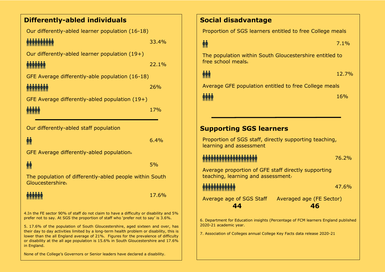| <b>Differently-abled individuals</b>                                                                                                                                                                                                                                                                                                                                     |       |
|--------------------------------------------------------------------------------------------------------------------------------------------------------------------------------------------------------------------------------------------------------------------------------------------------------------------------------------------------------------------------|-------|
| Our differently-abled learner population (16-18)                                                                                                                                                                                                                                                                                                                         |       |
| <b>ARARATARAR</b>                                                                                                                                                                                                                                                                                                                                                        | 33.4% |
| Our differently-abled learner population (19+)                                                                                                                                                                                                                                                                                                                           |       |
| <b>AAAAAAA</b>                                                                                                                                                                                                                                                                                                                                                           | 22.1% |
| GFE Average differently-able population (16-18)                                                                                                                                                                                                                                                                                                                          |       |
| <b>ARARARAR</b>                                                                                                                                                                                                                                                                                                                                                          | 26%   |
| GFE Average differently-abled population (19+)                                                                                                                                                                                                                                                                                                                           |       |
| <b>AAAAA</b>                                                                                                                                                                                                                                                                                                                                                             | 17%   |
| Our differently-abled staff population                                                                                                                                                                                                                                                                                                                                   |       |
| <b>AA</b>                                                                                                                                                                                                                                                                                                                                                                | 6.4%  |
| GFE Average differently-abled population4                                                                                                                                                                                                                                                                                                                                |       |
| <b>AA</b>                                                                                                                                                                                                                                                                                                                                                                | 5%    |
| The population of differently-abled people within South<br>Gloucestershires                                                                                                                                                                                                                                                                                              |       |
|                                                                                                                                                                                                                                                                                                                                                                          | 17.6% |
| 4. In the FE sector 90% of staff do not claim to have a difficulty or disability and 5%<br>prefer not to say. At SGS the proportion of staff who 'prefer not to say' is 3.6%.                                                                                                                                                                                            |       |
| 5. 17.6% of the population of South Gloucestershire, aged sixteen and over, has<br>their day to day activities limited by a long-term health problem or disability, this is<br>lower than the all England average of 21%. Figures for the prevalence of difficulty<br>or disability at the all age population is 15.6% in South Gloucestershire and 17.6%<br>in England. |       |
| None of the College's Governors or Senior leaders have declared a disability.                                                                                                                                                                                                                                                                                            |       |

| <b>Social disadvantage</b>                                                                                           |       |
|----------------------------------------------------------------------------------------------------------------------|-------|
| Proportion of SGS learners entitled to free College meals                                                            |       |
| <b>AA</b>                                                                                                            | 7.1%  |
| The population within South Gloucestershire entitled to<br>free school meals                                         |       |
| <b>AAA</b>                                                                                                           | 12.7% |
| Average GFE population entitled to free College meals                                                                |       |
| <b>AAAA</b>                                                                                                          | 16%   |
|                                                                                                                      |       |
| <b>Supporting SGS learners</b><br>Proportion of SGS staff, directly supporting teaching,<br>learning and assessment  |       |
| <u> ጽጽጽጽጽጽጽጽጽጽጽጽጽጽጽጽጽጽ</u>                                                                                           | 76.2% |
| Average proportion of GFE staff directly supporting<br>teaching, learning and assessment                             |       |
| <b>ለገለገ</b> የተመለከቱ የተመለከቱ የተመለከቱ የተመለከቱ የተመለከቱ የተመለከቱ የተመለከቱ የተመለከቱ የተመለከቱ የተመለከቱ የተመለከቱ የተመለከቱ የተመለከቱ የተመለከቱ የተመለከቱ | 47.6% |
| Average age of SGS Staff Averaged age (FE Sector)<br>46<br>44                                                        |       |
| 6. Department for Education insights (Percentage of FCM learners England published<br>2020-21 academic year.         |       |
| 7. Association of Colleges annual College Key Facts data release 2020-21                                             |       |
|                                                                                                                      |       |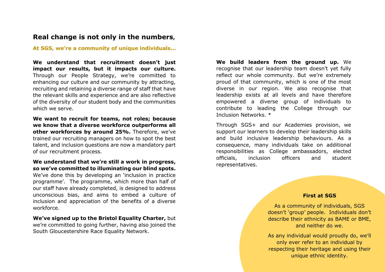### **Real change is not only in the numbers,**

#### **At SGS, we're a community of unique individuals...**

**We understand that recruitment doesn't just impact our results, but it impacts our culture.**  Through our People Strategy, we're committed to enhancing our culture and our community by attracting, recruiting and retaining a diverse range of staff that have the relevant skills and experience and are also reflective of the diversity of our student body and the communities which we serve.

**We want to recruit for teams, not roles; because we know that a diverse workforce outperforms all other workforces by around 25%.** Therefore, we've trained our recruiting managers on how to spot the best talent, and inclusion questions are now a mandatory part of our recruitment process.

#### **We understand that we're still a work in progress, so we've committed to illuminating our blind spots.**

We've done this by developing an 'inclusion in practice programme'. The programme, which more than half of our staff have already completed, is designed to address unconscious bias, and aims to embed a culture of inclusion and appreciation of the benefits of a diverse workforce.

**We've signed up to the Bristol Equality Charter,** but we're committed to going further, having also joined the South Gloucestershire Race Equality Network.

**We build leaders from the ground up.** We recognise that our leadership team doesn't yet fully reflect our whole community. But we're extremely proud of that community, which is one of the most diverse in our region. We also recognise that leadership exists at all levels and have therefore empowered a diverse group of individuals to contribute to leading the College through our Inclusion Networks. \*

Through SGS+ and our Academies provision, we support our learners to develop their leadership skills and build inclusive leadership behaviours. As a consequence, many individuals take on additional responsibilities as College ambassadors, elected officials, inclusion officers and student representatives.

#### **First at SGS**

As a community of individuals, SGS doesn't 'group' people. Individuals don't describe their ethnicity as BAME or BME, and neither do we.

As any individual would proudly do, we'll only ever refer to an individual by respecting their heritage and using their unique ethnic identity.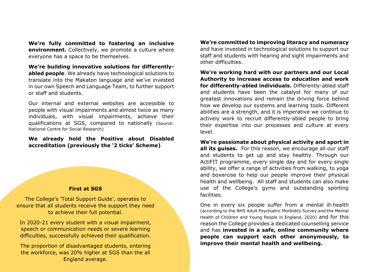**We're fully committed to fostering an inclusive environment.** Collectively, we promote a culture where everyone has a space to be themselves.

**We're building innovative solutions for differentlyabled people**. We already have technological solutions to translate into the Makaton language and we've invested in our own Speech and Language Team, to further support or staff and students.

Our internal and external websites are accessible to people with visual impairments and almost twice as many individuals, with visual impairments, achieve their qualifications at SGS, compared to nationally (Source: National Centre for Social Research)

**We already hold the Positive about Disabled accreditation (previously the '2 ticks' Scheme)**

#### **First at SGS**

The College's 'Total Support Guide', operates to ensure that all students receive the support they need to achieve their full potential.

In 2020-21 every student with a visual impairment, speech or communication needs or severe learning difficulties, successfully achieved their qualification.

The proportion of disadvantaged students, entering the workforce, was 20% higher at SGS than the all England average.

**We're committed to improving literacy and numeracy** 

and have invested in technological solutions to support our staff and students with hearing and sight impairments and other difficulties.

**We're working hard with our partners and our Local Authority to increase access to education and work for differently-abled individuals.** Differently-abled staff and students have been the catalyst for many of our greatest innovations and remain the driving force behind how we develop our systems and learning tools. Different abilities are a strength, and it is imperative we continue to actively work to recruit differently-abled people to bring their expertise into our processes and culture at every level.

**We're passionate about physical activity and sport in all its quises.** For this reason, we encourage all our staff and students to get up and stay healthy. Through our ActiFIT programme, every single day and for every single ability, we offer a range of activities from walking, to yoga and boxercise to help our people improve their physical health and wellbeing. All staff and students can also make use of the College's gyms and outstanding sporting facilities.

One in every six people suffer from a mental ill-health (according to the NHS Adult Psychiatric Morbidity Survey and the Mental Health of Children and Young People in England, 2020) and for this reason the College provides a dedicated counselling service and has **invested in a safe, online community where people can support each other anonymously, to improve their mental health and wellbeing.**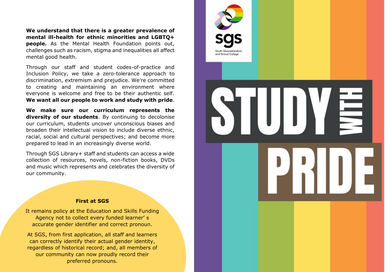**We understand that there is a greater prevalence of mental ill-health for ethnic minorities and LGBTQ+ people.** As the Mental Health Foundation points out, challenges such as racism, stigma and inequalities all affect mental good health.

Through our staff and student codes-of-practice and Inclusion Policy, we take a zero-tolerance approach to discrimination, extremism and prejudice. We're committed to creating and maintaining an environment where everyone is welcome and free to be their authentic self. **We want all our people to work and study with pride**.

**We make sure our curriculum represents the diversity of our students**. By continuing to decolonise our curriculum, students uncover unconscious biases and broaden their intellectual vision to include diverse ethnic, racial, social and cultural perspectives; and become more prepared to lead in an increasingly diverse world.

Through SGS Library+ staff and students can access a wide collection of resources, novels, non-fiction books, DVDs and music which represents and celebrates the diversity of our community.

#### **First at SGS**

It remains policy at the Education and Skills Funding Agency not to collect every funded learner' s accurate gender identifier and correct pronoun.

At SGS, from first application, all staff and learners can correctly identify their actual gender identity, regardless of historical record; and, all members of our community can now proudly record their preferred pronouns.

![](_page_10_Picture_7.jpeg)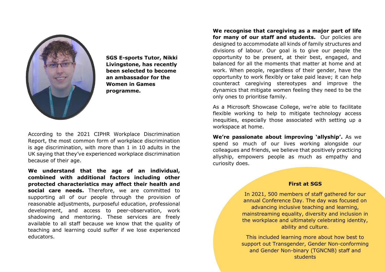![](_page_11_Picture_0.jpeg)

**SGS E-sports Tutor, Nikki Livingstone, has recently been selected to become an ambassador for the Women in Games programme.**

According to the 2021 CIPHR Workplace Discrimination Report, the most common form of workplace discrimination is age discrimination, with more than 1 in 10 adults in the UK saying that they've experienced workplace discrimination because of their age.

**We understand that the age of an individual, combined with additional factors including other protected characteristics may affect their health and social care needs.** Therefore, we are committed to supporting all of our people through the provision of reasonable adjustments, purposeful education, professional development, and access to peer-observation, work shadowing and mentoring. These services are freely available to all staff because we know that the quality of teaching and learning could suffer if we lose experienced educators.

**We recognise that caregiving as a major part of life for many of our staff and students.** Our policies are designed to accommodate all kinds of family structures and divisions of labour. Our goal is to give our people the opportunity to be present, at their best, engaged, and balanced for all the moments that matter at home and at work. When people, regardless of their gender, have the opportunity to work flexibly or take paid leave; it can help counteract caregiving stereotypes and improve the dynamics that mitigate women feeling they need to be the only ones to prioritise family.

As a Microsoft Showcase College, we're able to facilitate flexible working to help to mitigate technology access inequities, especially those associated with setting up a workspace at home.

**We're passionate about improving 'allyship'.** As we spend so much of our lives working alongside our colleagues and friends, we believe that positively practicing allyship, empowers people as much as empathy and curiosity does.

#### **First at SGS**

In 2021, 500 members of staff gathered for our annual Conference Day. The day was focused on advancing inclusive teaching and learning, mainstreaming equality, diversity and inclusion in the workplace and ultimately celebrating identity, ability and culture.

This included learning more about how best to support out Transgender, Gender Non-conforming and Gender Non-binary (TGNCNB) staff and students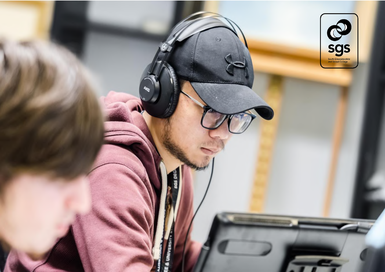![](_page_12_Picture_0.jpeg)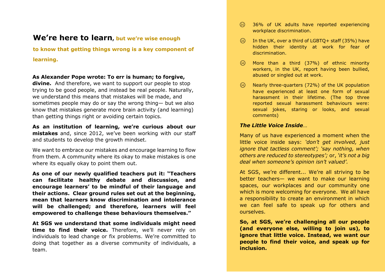### **We're here to learn, but we're wise enough**

**to know that getting things wrong is a key component of learning.**

**As Alexander Pope wrote: To err is human; to forgive,** 

**divine.** And therefore, we want to support our people to stop trying to be good people, and instead be real people. Naturally, we understand this means that mistakes will be made, and sometimes people may do or say the wrong thing— but we also know that mistakes generate more brain activity (and learning) than getting things right or avoiding certain topics.

**As an institution of learning, we're curious about our mistakes** and, since 2012, we've been working with our staff and students to develop the growth mindset.

We want to embrace our mistakes and encourage learning to flow from them. A community where its okay to make mistakes is one where its equally okay to point them out.

**As one of our newly qualified teachers put it: "Teachers can facilitate healthy debate and discussion, and encourage learners' to be mindful of their language and their actions. Clear ground rules set out at the beginning, mean that learners know discrimination and intolerance will be challenged; and therefore, learners will feel empowered to challenge these behaviours themselves."**

**At SGS we understand that some individuals might need time to find their voice.** Therefore, we'll never rely on individuals to lead change or fix problems. We're committed to doing that together as a diverse community of individuals, a team.

- <sup>36%</sup> of UK adults have reported experiencing workplace discrimination.
- $\textcircled{R}$  In the UK, over a third of LGBTQ+ staff (35%) have hidden their identity at work for fear of discrimination.
- $\textcircled{R}$  More than a third (37%) of ethnic minority workers, in the UK, report having been bullied, abused or singled out at work.
- $\odot$  Nearly three-quarters (72%) of the UK population have experienced at least one form of sexual harassment in their lifetime. (The top three reported sexual harassment behaviours were: sexual jokes, staring or looks, and sexual comments)

#### *The Little Voice Inside*…

Many of us have experienced a moment when the little voice inside says: *'don't get involved, just ignore that tactless comment'; 'say nothing, when others are reduced to stereotypes';* or, *'it's not a big deal when someone's opinion isn't valued'.*

At SGS, we're different... We're all striving to be better teachers— we want to make our learning spaces, our workplaces and our community one which is more welcoming for everyone. We all have a responsibility to create an environment in which we can feel safe to speak up for others and ourselves.

**So, at SGS, we're challenging all our people (and everyone else, willing to join us), to ignore that little voice. Instead, we want our people to find their voice, and speak up for inclusion.**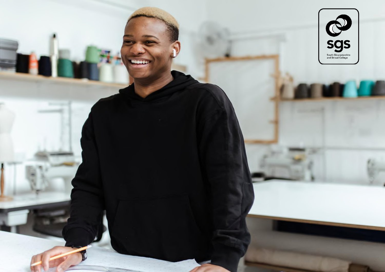![](_page_14_Picture_0.jpeg)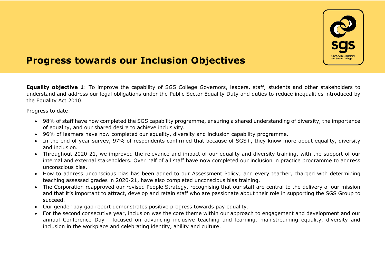![](_page_15_Picture_0.jpeg)

## **Progress towards our Inclusion Objectives**

**Equality objective 1**: To improve the capability of SGS College Governors, leaders, staff, students and other stakeholders to understand and address our legal obligations under the Public Sector Equality Duty and duties to reduce inequalities introduced by the Equality Act 2010.

Progress to date:

- 98% of staff have now completed the SGS capability programme, ensuring a shared understanding of diversity, the importance of equality, and our shared desire to achieve inclusivity.
- 96% of learners have now completed our equality, diversity and inclusion capability programme.
- In the end of year survey, 97% of respondents confirmed that because of SGS+, they know more about equality, diversity and inclusion.
- Throughout 2020-21, we improved the relevance and impact of our equality and diversity training, with the support of our internal and external stakeholders. Over half of all staff have now completed our inclusion in practice programme to address unconscious bias.
- How to address unconscious bias has been added to our Assessment Policy; and every teacher, charged with determining teaching assessed grades in 2020-21, have also completed unconscious bias training.
- The Corporation reapproved our revised People Strategy, recognising that our staff are central to the delivery of our mission and that it's important to attract, develop and retain staff who are passionate about their role in supporting the SGS Group to succeed.
- Our gender pay gap report demonstrates positive progress towards pay equality.
- For the second consecutive year, inclusion was the core theme within our approach to engagement and development and our annual Conference Day— focused on advancing inclusive teaching and learning, mainstreaming equality, diversity and inclusion in the workplace and celebrating identity, ability and culture.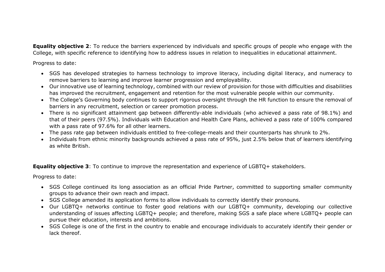**Equality objective 2**: To reduce the barriers experienced by individuals and specific groups of people who engage with the College, with specific reference to identifying how to address issues in relation to inequalities in educational attainment.

Progress to date:

- SGS has developed strategies to harness technology to improve literacy, including digital literacy, and numeracy to remove barriers to learning and improve learner progression and employability.
- Our innovative use of learning technology, combined with our review of provision for those with difficulties and disabilities has improved the recruitment, engagement and retention for the most vulnerable people within our community.
- The College's Governing body continues to support rigorous oversight through the HR function to ensure the removal of barriers in any recruitment, selection or career promotion process.
- There is no significant attainment gap between differently-able individuals (who achieved a pass rate of 98.1%) and that of their peers (97.5%). Individuals with Education and Health Care Plans, achieved a pass rate of 100% compared with a pass rate of 97.6% for all other learners.
- The pass rate gap between individuals entitled to free-college-meals and their counterparts has shrunk to 2%.
- Individuals from ethnic minority backgrounds achieved a pass rate of 95%, just 2.5% below that of learners identifying as white British.

**Equality objective 3**: To continue to improve the representation and experience of LGBTQ+ stakeholders.

Progress to date:

- SGS College continued its long association as an official Pride Partner, committed to supporting smaller community groups to advance their own reach and impact.
- SGS College amended its application forms to allow individuals to correctly identify their pronouns.
- Our LGBTQ+ networks continue to foster good relations with our LGBTQ+ community, developing our collective understanding of issues affecting LGBTQ+ people; and therefore, making SGS a safe place where LGBTQ+ people can pursue their education, interests and ambitions.
- SGS College is one of the first in the country to enable and encourage individuals to accurately identify their gender or lack thereof.